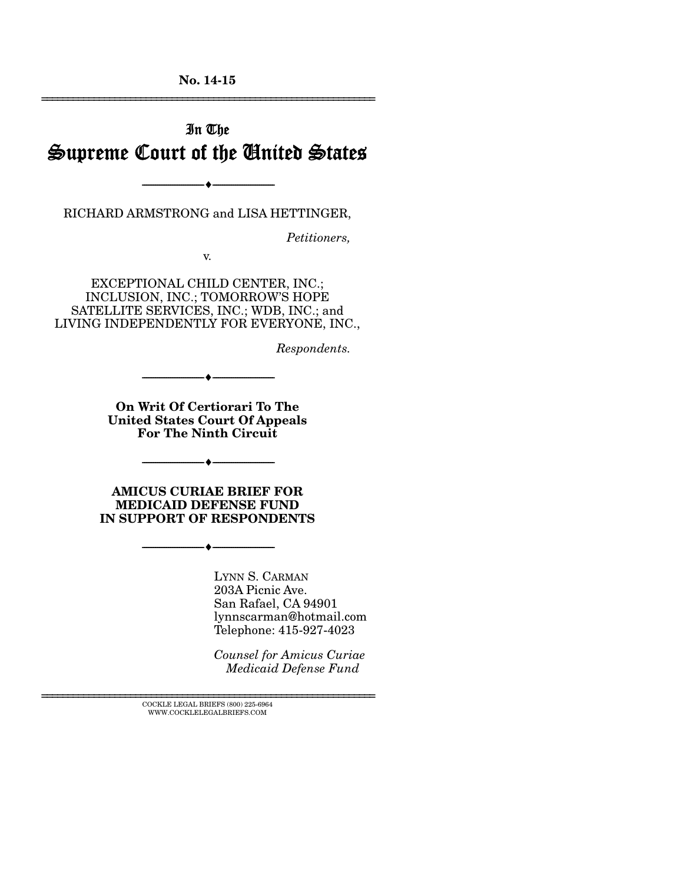**No. 14-15**  ================================================================

# In The Supreme Court of the United States

--------------------------------- ---------------------------------

RICHARD ARMSTRONG and LISA HETTINGER,

*Petitioners,* 

v.

EXCEPTIONAL CHILD CENTER, INC.; INCLUSION, INC.; TOMORROW'S HOPE SATELLITE SERVICES, INC.; WDB, INC.; and LIVING INDEPENDENTLY FOR EVERYONE, INC.,

*Respondents.* 

**On Writ Of Certiorari To The United States Court Of Appeals For The Ninth Circuit**

--------------------------------- ---------------------------------

--------------------------------- ---------------------------------

**AMICUS CURIAE BRIEF FOR MEDICAID DEFENSE FUND IN SUPPORT OF RESPONDENTS**

--------------------------------- ---------------------------------

LYNN S. CARMAN 203A Picnic Ave. San Rafael, CA 94901 lynnscarman@hotmail.com Telephone: 415-927-4023

*Counsel for Amicus Curiae Medicaid Defense Fund* 

 $\textsc{COCKLE}$  LEGAL BRIEFS (800) 225-6964 WWW.COCKLELEGALBRIEFS.COM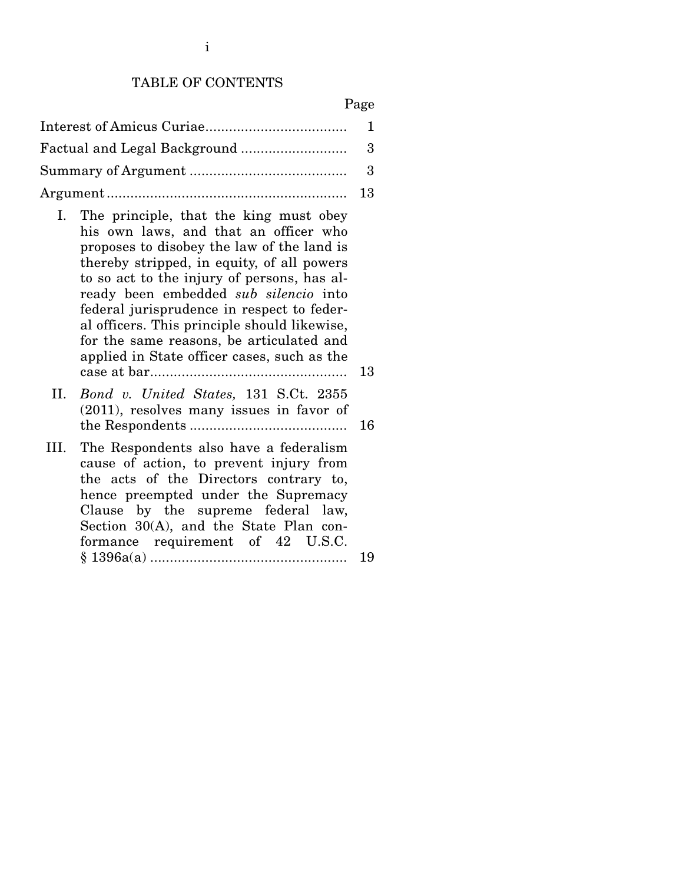#### TABLE OF CONTENTS

#### Page

- I. The principle, that the king must obey his own laws, and that an officer who proposes to disobey the law of the land is thereby stripped, in equity, of all powers to so act to the injury of persons, has already been embedded *sub silencio* into federal jurisprudence in respect to federal officers. This principle should likewise, for the same reasons, be articulated and applied in State officer cases, such as the case at bar .................................................. 13
- II. *Bond v. United States,* 131 S.Ct. 2355 (2011), resolves many issues in favor of the Respondents ........................................ 16
- III. The Respondents also have a federalism cause of action, to prevent injury from the acts of the Directors contrary to, hence preempted under the Supremacy Clause by the supreme federal law, Section 30(A), and the State Plan conformance requirement of 42 U.S.C. § 1396a(a) .................................................. 19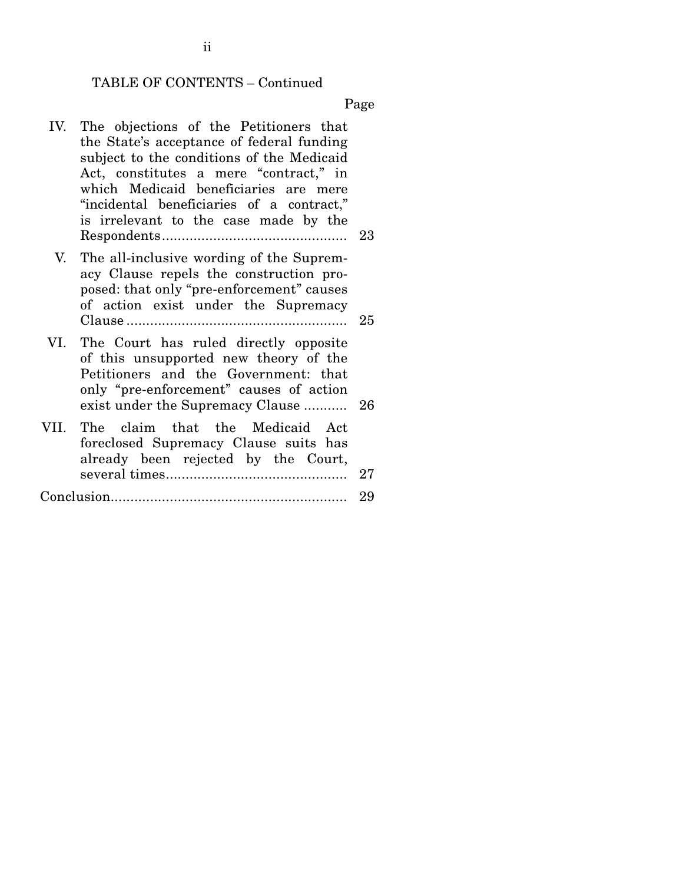#### TABLE OF CONTENTS – Continued

Page

 IV. The objections of the Petitioners that the State's acceptance of federal funding subject to the conditions of the Medicaid Act, constitutes a mere "contract," in which Medicaid beneficiaries are mere "incidental beneficiaries of a contract," is irrelevant to the case made by the Respondents ............................................... 23 V. The all-inclusive wording of the Supremacy Clause repels the construction proposed: that only "pre-enforcement" causes of action exist under the Supremacy Clause ........................................................ 25 VI. The Court has ruled directly opposite of this unsupported new theory of the Petitioners and the Government: that only "pre-enforcement" causes of action exist under the Supremacy Clause ........... 26 VII. The claim that the Medicaid Act foreclosed Supremacy Clause suits has already been rejected by the Court, several times .............................................. 27 Conclusion............................................................ 29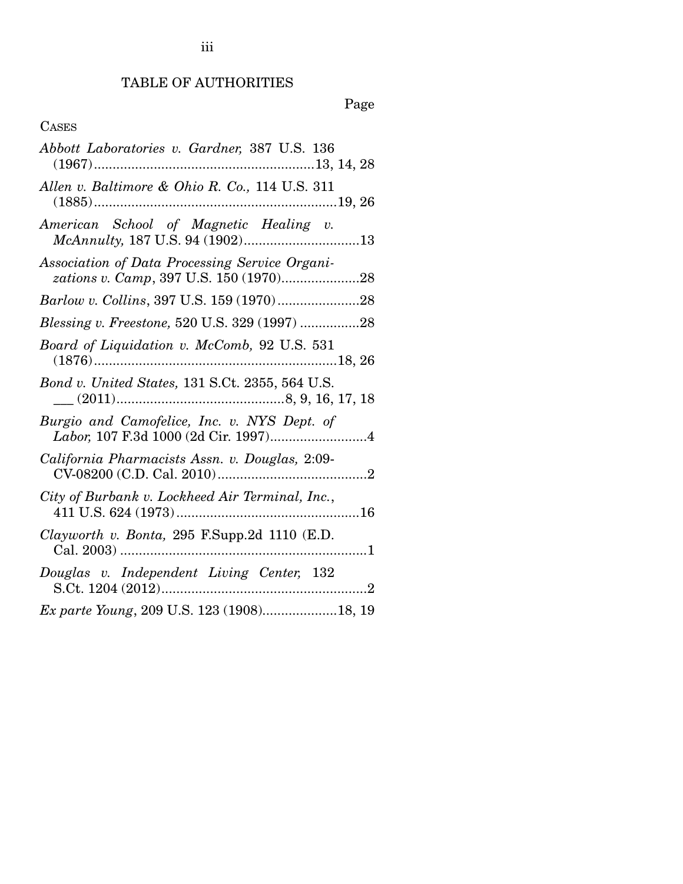## TABLE OF AUTHORITIES

Page

## CASES

| Abbott Laboratories v. Gardner, 387 U.S. 136                              |
|---------------------------------------------------------------------------|
| Allen v. Baltimore & Ohio R. Co., 114 U.S. 311                            |
| American School of Magnetic Healing v.<br>McAnnulty, 187 U.S. 94 (1902)13 |
| Association of Data Processing Service Organi-                            |
|                                                                           |
| <i>Blessing v. Freestone, 520 U.S. 329 (1997) 28</i>                      |
| Board of Liquidation v. McComb, 92 U.S. 531                               |
| Bond v. United States, 131 S.Ct. 2355, 564 U.S.                           |
| Burgio and Camofelice, Inc. v. NYS Dept. of                               |
| California Pharmacists Assn. v. Douglas, 2:09-                            |
| City of Burbank v. Lockheed Air Terminal, Inc.,                           |
| Clayworth v. Bonta, 295 F.Supp.2d 1110 (E.D.                              |
| Douglas v. Independent Living Center, 132                                 |
| Ex parte Young, 209 U.S. 123 (1908)18, 19                                 |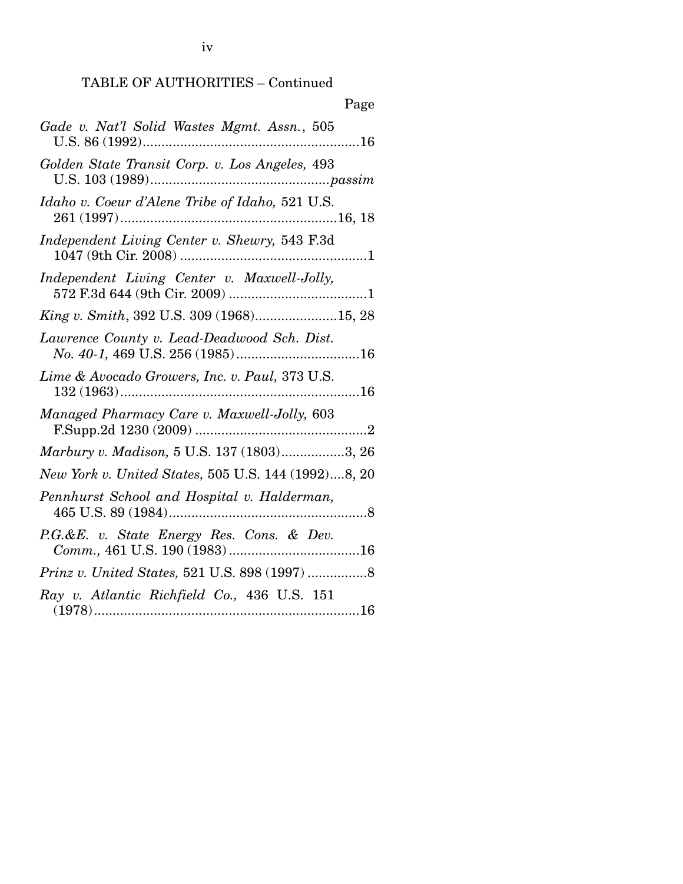## TABLE OF AUTHORITIES – Continued

| Page                                                |
|-----------------------------------------------------|
| Gade v. Nat'l Solid Wastes Mgmt. Assn., 505         |
| Golden State Transit Corp. v. Los Angeles, 493      |
| Idaho v. Coeur d'Alene Tribe of Idaho, 521 U.S.     |
| Independent Living Center v. Shewry, 543 F.3d       |
| Independent Living Center v. Maxwell-Jolly,         |
| King v. Smith, 392 U.S. 309 (1968)15, 28            |
| Lawrence County v. Lead-Deadwood Sch. Dist.         |
| Lime & Avocado Growers, Inc. v. Paul, 373 U.S.      |
| Managed Pharmacy Care v. Maxwell-Jolly, 603         |
| Marbury v. Madison, 5 U.S. 137 (1803)3, 26          |
| New York v. United States, 505 U.S. 144 (1992)8, 20 |
| Pennhurst School and Hospital v. Halderman,         |
| P.G.&E. v. State Energy Res. Cons. & Dev.           |
|                                                     |
| Ray v. Atlantic Richfield Co., 436 U.S. 151         |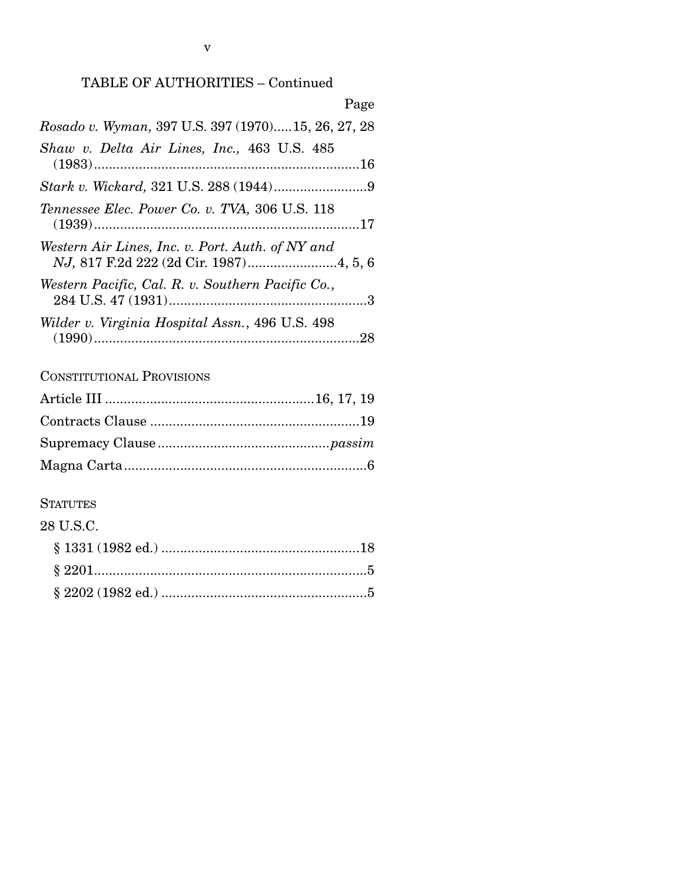## TABLE OF AUTHORITIES – Continued

v

| Page                                               |
|----------------------------------------------------|
| Rosado v. Wyman, 397 U.S. 397 (1970)15, 26, 27, 28 |
| Shaw v. Delta Air Lines, Inc., 463 U.S. 485        |
|                                                    |
| Tennessee Elec. Power Co. v. TVA, 306 U.S. 118     |
| Western Air Lines, Inc. v. Port. Auth. of NY and   |
| Western Pacific, Cal. R. v. Southern Pacific Co.,  |
| Wilder v. Virginia Hospital Assn., 496 U.S. 498    |

## CONSTITUTIONAL PROVISIONS

## **STATUTES**

## 28 U.S.C.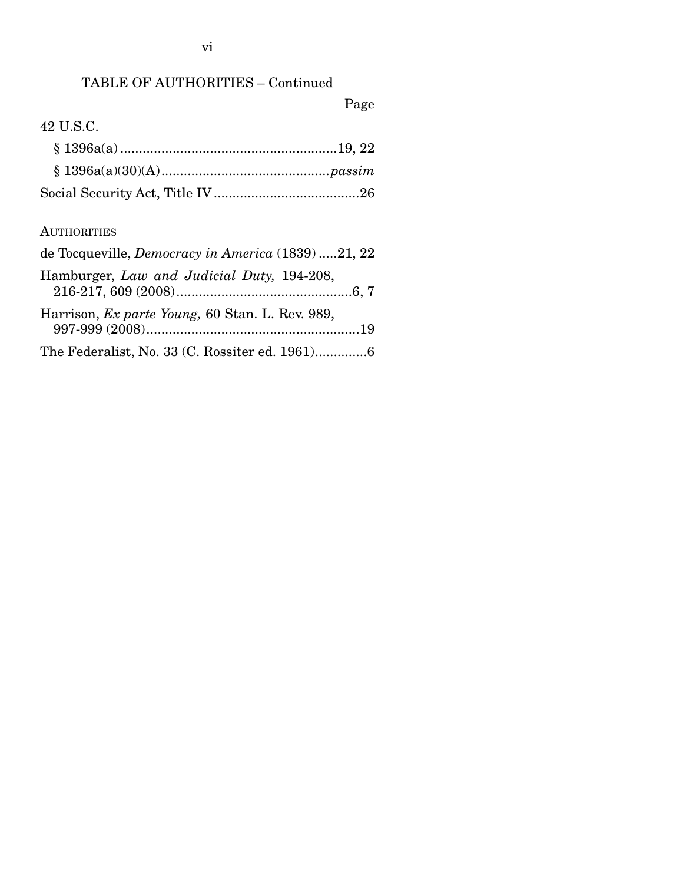## TABLE OF AUTHORITIES – Continued

Page

## 42 U.S.C.

### **AUTHORITIES**

| de Tocqueville, <i>Democracy in America</i> (1839) 21, 22                                                                          |
|------------------------------------------------------------------------------------------------------------------------------------|
| Hamburger, Law and Judicial Duty, 194-208,                                                                                         |
| Harrison, <i>Ex parte Young</i> , 60 Stan. L. Rev. 989,                                                                            |
| $\mathbf{Th}_{\mathbf{e}}$ $\mathbf{F}_{\mathbf{e}}$ density $\mathbf{M}_{\mathbf{e}}$ 99 (C Description of 1001)<br>$\mathcal{L}$ |

The Federalist, No. 33 (C. Rossiter ed. 1961) .............. 6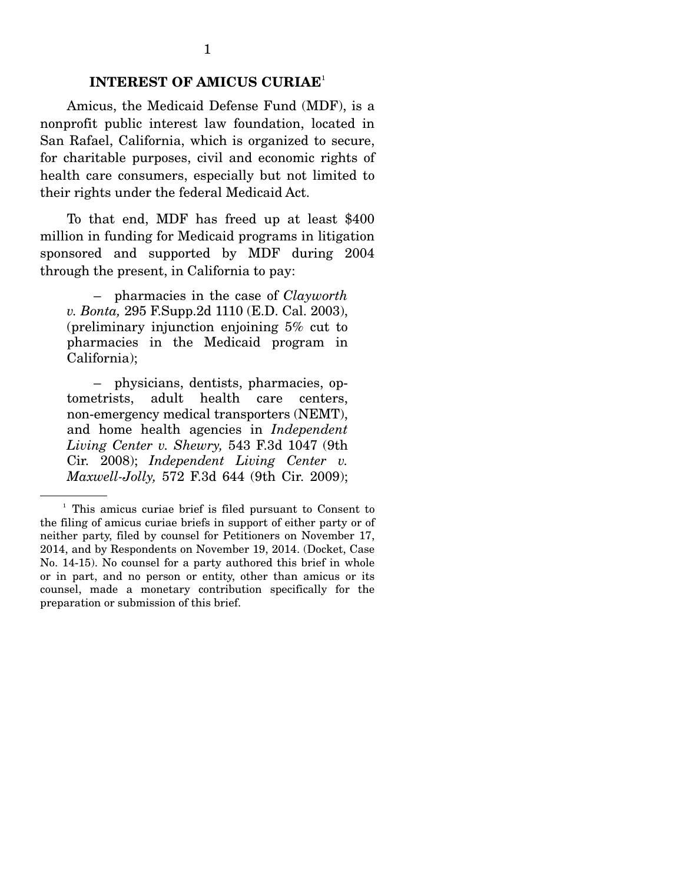### **INTEREST OF AMICUS CURIAE**<sup>1</sup>

 Amicus, the Medicaid Defense Fund (MDF), is a nonprofit public interest law foundation, located in San Rafael, California, which is organized to secure, for charitable purposes, civil and economic rights of health care consumers, especially but not limited to their rights under the federal Medicaid Act.

 To that end, MDF has freed up at least \$400 million in funding for Medicaid programs in litigation sponsored and supported by MDF during 2004 through the present, in California to pay:

 – pharmacies in the case of *Clayworth v. Bonta,* 295 F.Supp.2d 1110 (E.D. Cal. 2003), (preliminary injunction enjoining 5% cut to pharmacies in the Medicaid program in California);

 – physicians, dentists, pharmacies, optometrists, adult health care centers, non-emergency medical transporters (NEMT), and home health agencies in *Independent Living Center v. Shewry,* 543 F.3d 1047 (9th Cir. 2008); *Independent Living Center v. Maxwell-Jolly,* 572 F.3d 644 (9th Cir. 2009);

<sup>&</sup>lt;sup>1</sup> This amicus curiae brief is filed pursuant to Consent to the filing of amicus curiae briefs in support of either party or of neither party, filed by counsel for Petitioners on November 17, 2014, and by Respondents on November 19, 2014. (Docket, Case No. 14-15). No counsel for a party authored this brief in whole or in part, and no person or entity, other than amicus or its counsel, made a monetary contribution specifically for the preparation or submission of this brief.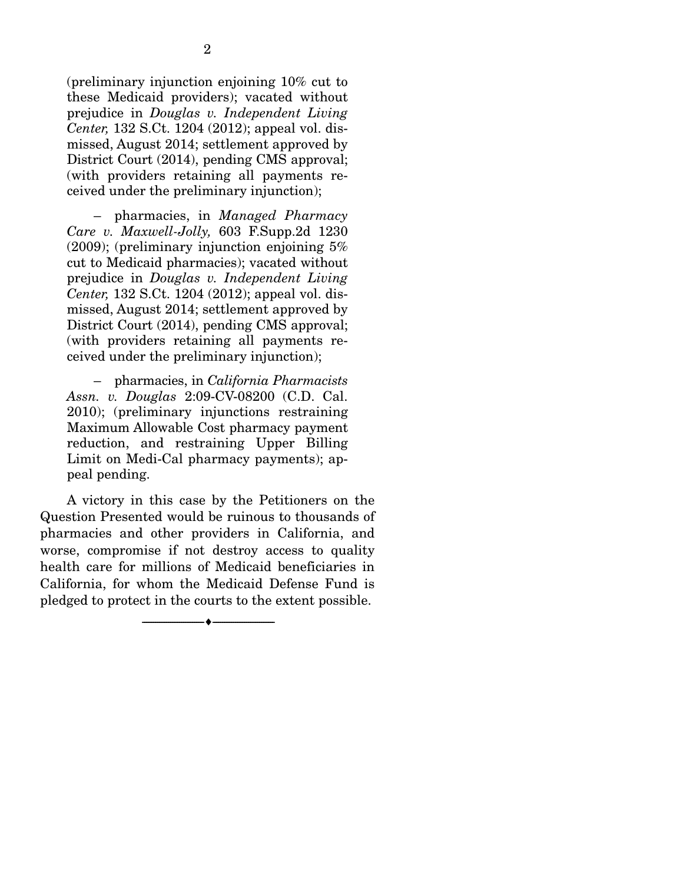(preliminary injunction enjoining 10% cut to these Medicaid providers); vacated without prejudice in *Douglas v. Independent Living Center,* 132 S.Ct. 1204 (2012); appeal vol. dismissed, August 2014; settlement approved by District Court (2014), pending CMS approval; (with providers retaining all payments received under the preliminary injunction);

 – pharmacies, in *Managed Pharmacy Care v. Maxwell-Jolly,* 603 F.Supp.2d 1230  $(2009)$ ; (preliminary injunction enjoining  $5\%$ cut to Medicaid pharmacies); vacated without prejudice in *Douglas v. Independent Living Center,* 132 S.Ct. 1204 (2012); appeal vol. dismissed, August 2014; settlement approved by District Court (2014), pending CMS approval; (with providers retaining all payments received under the preliminary injunction);

 – pharmacies, in *California Pharmacists Assn. v. Douglas* 2:09-CV-08200 (C.D. Cal. 2010); (preliminary injunctions restraining Maximum Allowable Cost pharmacy payment reduction, and restraining Upper Billing Limit on Medi-Cal pharmacy payments); appeal pending.

 A victory in this case by the Petitioners on the Question Presented would be ruinous to thousands of pharmacies and other providers in California, and worse, compromise if not destroy access to quality health care for millions of Medicaid beneficiaries in California, for whom the Medicaid Defense Fund is pledged to protect in the courts to the extent possible.

--------------------------------- ---------------------------------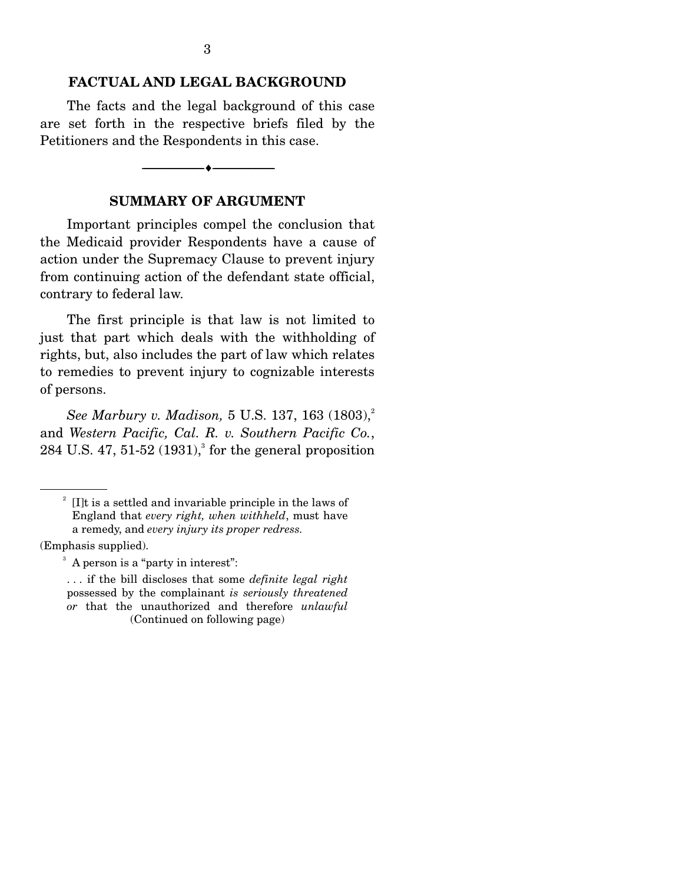#### **FACTUAL AND LEGAL BACKGROUND**

 The facts and the legal background of this case are set forth in the respective briefs filed by the Petitioners and the Respondents in this case.

--------------------------------- ---------------------------------

#### **SUMMARY OF ARGUMENT**

 Important principles compel the conclusion that the Medicaid provider Respondents have a cause of action under the Supremacy Clause to prevent injury from continuing action of the defendant state official, contrary to federal law.

 The first principle is that law is not limited to just that part which deals with the withholding of rights, but, also includes the part of law which relates to remedies to prevent injury to cognizable interests of persons.

*See Marbury v. Madison, 5 U.S. 137, 163* (1803),<sup>2</sup> and *Western Pacific, Cal. R. v. Southern Pacific Co.*,  $284$  U.S.  $47$ ,  $51-52$   $(1931)$ , for the general proposition

<sup>&</sup>lt;sup>2</sup> [I]t is a settled and invariable principle in the laws of England that *every right, when withheld*, must have a remedy, and *every injury its proper redress.* 

<sup>(</sup>Emphasis supplied).

<sup>&</sup>lt;sup>3</sup> A person is a "party in interest":

<sup>. . .</sup> if the bill discloses that some *definite legal right*  possessed by the complainant *is seriously threatened or* that the unauthorized and therefore *unlawful*  (Continued on following page)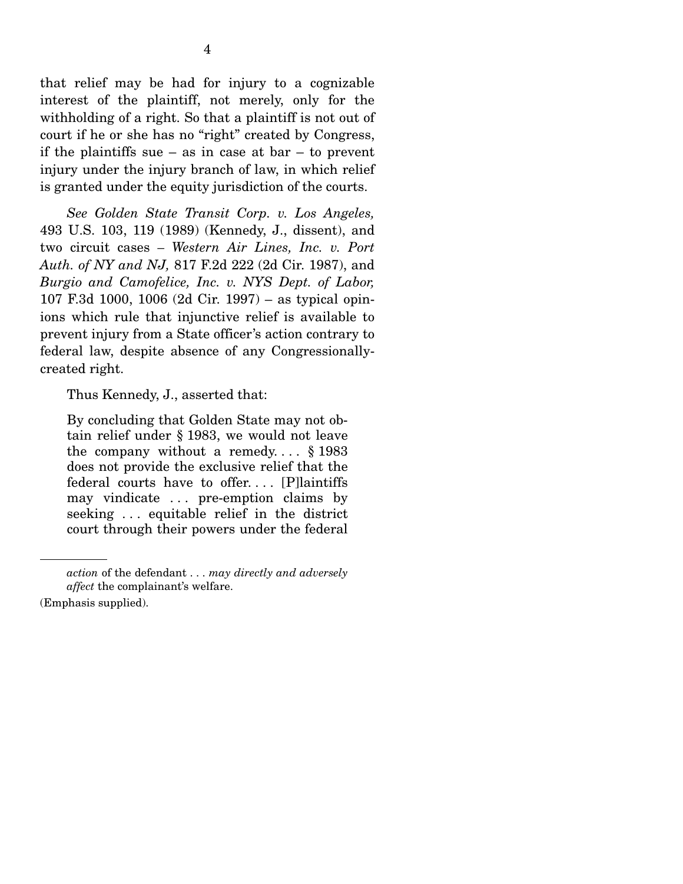that relief may be had for injury to a cognizable interest of the plaintiff, not merely, only for the withholding of a right. So that a plaintiff is not out of court if he or she has no "right" created by Congress, if the plaintiffs sue – as in case at  $bar -$  to prevent injury under the injury branch of law, in which relief is granted under the equity jurisdiction of the courts.

*See Golden State Transit Corp. v. Los Angeles,*  493 U.S. 103, 119 (1989) (Kennedy, J., dissent), and two circuit cases *– Western Air Lines, Inc. v. Port Auth. of NY and NJ,* 817 F.2d 222 (2d Cir. 1987), and *Burgio and Camofelice, Inc. v. NYS Dept. of Labor,*  107 F.3d 1000, 1006 (2d Cir. 1997) – as typical opinions which rule that injunctive relief is available to prevent injury from a State officer's action contrary to federal law, despite absence of any Congressionallycreated right.

Thus Kennedy, J., asserted that:

By concluding that Golden State may not obtain relief under § 1983, we would not leave the company without a remedy....  $\S 1983$ does not provide the exclusive relief that the federal courts have to offer. . . . [P]laintiffs may vindicate . . . pre-emption claims by seeking . . . equitable relief in the district court through their powers under the federal

*action* of the defendant . . . *may directly and adversely affect* the complainant's welfare.

<sup>(</sup>Emphasis supplied).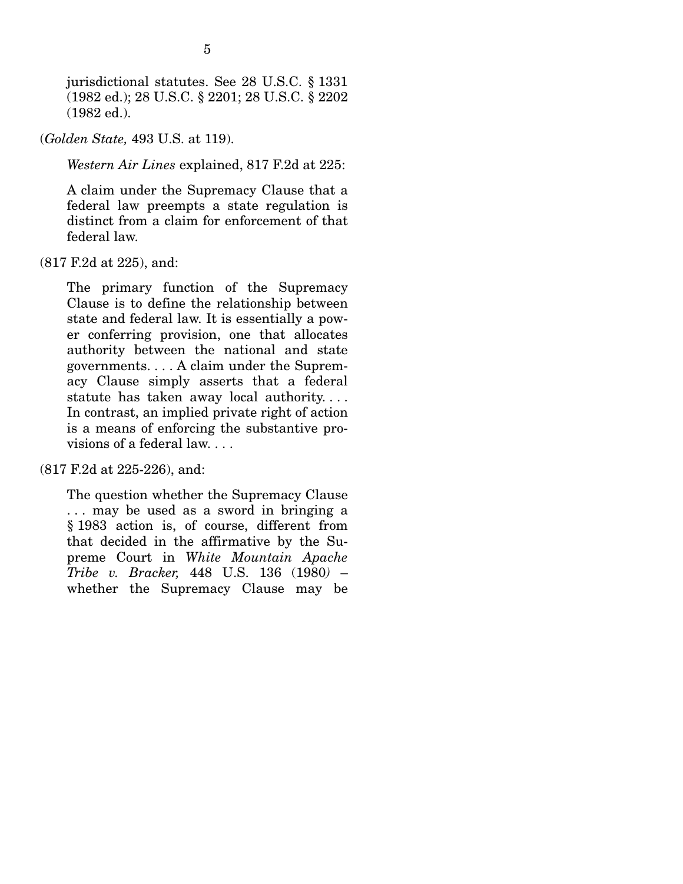jurisdictional statutes. See 28 U.S.C. § 1331 (1982 ed.); 28 U.S.C. § 2201; 28 U.S.C. § 2202 (1982 ed.).

(*Golden State,* 493 U.S. at 119).

*Western Air Lines* explained, 817 F.2d at 225:

A claim under the Supremacy Clause that a federal law preempts a state regulation is distinct from a claim for enforcement of that federal law.

(817 F.2d at 225), and:

The primary function of the Supremacy Clause is to define the relationship between state and federal law. It is essentially a power conferring provision, one that allocates authority between the national and state governments. . . . A claim under the Supremacy Clause simply asserts that a federal statute has taken away local authority. . . . In contrast, an implied private right of action is a means of enforcing the substantive provisions of a federal law. . . .

(817 F.2d at 225-226), and:

The question whether the Supremacy Clause . . . may be used as a sword in bringing a § 1983 action is, of course, different from that decided in the affirmative by the Supreme Court in *White Mountain Apache Tribe v. Bracker,* 448 U.S. 136 (1980*)* – whether the Supremacy Clause may be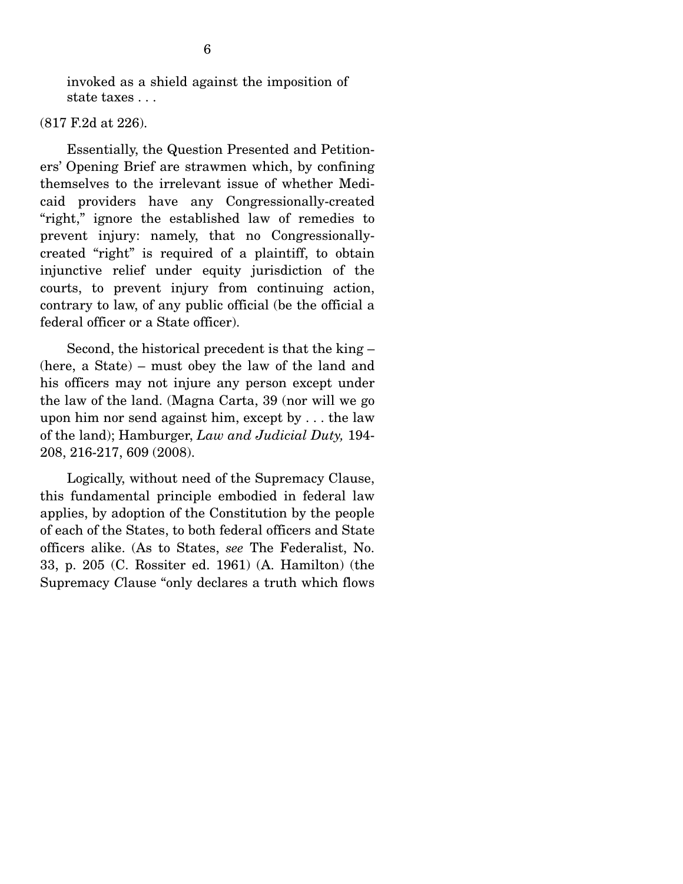invoked as a shield against the imposition of state taxes . . .

#### (817 F.2d at 226).

 Essentially, the Question Presented and Petitioners' Opening Brief are strawmen which, by confining themselves to the irrelevant issue of whether Medicaid providers have any Congressionally-created "right," ignore the established law of remedies to prevent injury: namely, that no Congressionallycreated "right" is required of a plaintiff, to obtain injunctive relief under equity jurisdiction of the courts, to prevent injury from continuing action, contrary to law, of any public official (be the official a federal officer or a State officer).

 Second, the historical precedent is that the king – (here, a State) – must obey the law of the land and his officers may not injure any person except under the law of the land. (Magna Carta, 39 (nor will we go upon him nor send against him, except by . . . the law of the land); Hamburger, *Law and Judicial Duty,* 194- 208, 216-217, 609 (2008).

 Logically, without need of the Supremacy Clause, this fundamental principle embodied in federal law applies, by adoption of the Constitution by the people of each of the States, to both federal officers and State officers alike. (As to States, *see* The Federalist, No. 33, p. 205 (C. Rossiter ed. 1961) (A. Hamilton) (the Supremacy *C*lause "only declares a truth which flows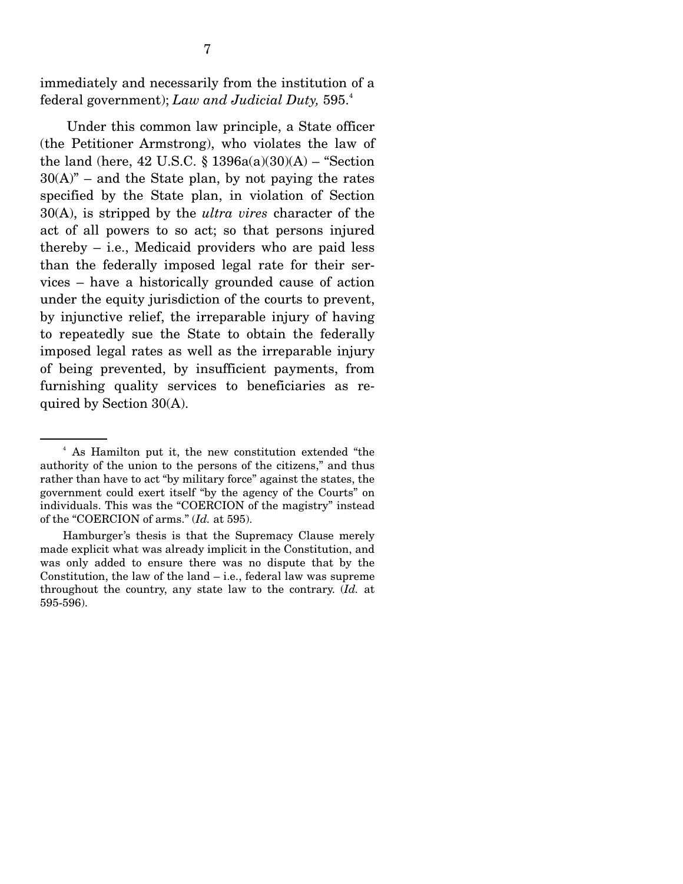immediately and necessarily from the institution of a federal government); *Law and Judicial Duty,* 595.<sup>4</sup>

 Under this common law principle, a State officer (the Petitioner Armstrong), who violates the law of the land (here,  $42 \text{ U.S.C. }$ §  $1396a(a)(30)(A)$  – "Section"  $30(A)$ " – and the State plan, by not paying the rates specified by the State plan, in violation of Section 30(A), is stripped by the *ultra vires* character of the act of all powers to so act; so that persons injured thereby – i.e., Medicaid providers who are paid less than the federally imposed legal rate for their services – have a historically grounded cause of action under the equity jurisdiction of the courts to prevent, by injunctive relief, the irreparable injury of having to repeatedly sue the State to obtain the federally imposed legal rates as well as the irreparable injury of being prevented, by insufficient payments, from furnishing quality services to beneficiaries as required by Section 30(A).

<sup>4</sup> As Hamilton put it, the new constitution extended "the authority of the union to the persons of the citizens," and thus rather than have to act "by military force" against the states, the government could exert itself "by the agency of the Courts" on individuals. This was the "COERCION of the magistry" instead of the "COERCION of arms." (*Id.* at 595).

Hamburger's thesis is that the Supremacy Clause merely made explicit what was already implicit in the Constitution, and was only added to ensure there was no dispute that by the Constitution, the law of the land – i.e., federal law was supreme throughout the country, any state law to the contrary. (*Id.* at 595-596).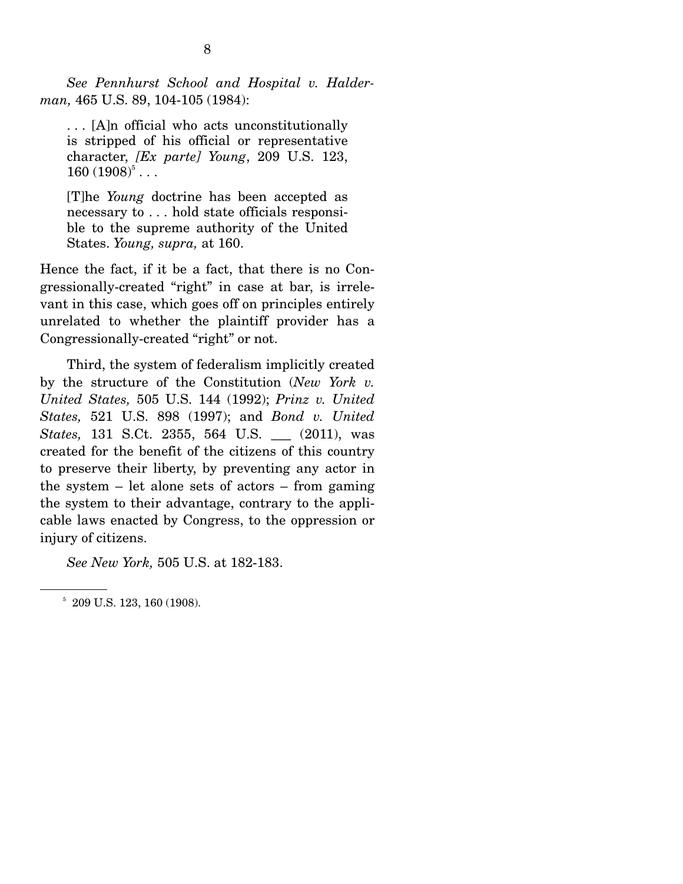*See Pennhurst School and Hospital v. Halderman,* 465 U.S. 89, 104-105 (1984):

. . . [A]n official who acts unconstitutionally is stripped of his official or representative character, *[Ex parte] Young*, 209 U.S. 123,  $160 (1908)^5...$ 

[T]he *Young* doctrine has been accepted as necessary to . . . hold state officials responsible to the supreme authority of the United States. *Young, supra,* at 160.

Hence the fact, if it be a fact, that there is no Congressionally-created "right" in case at bar, is irrelevant in this case, which goes off on principles entirely unrelated to whether the plaintiff provider has a Congressionally-created "right" or not.

 Third, the system of federalism implicitly created by the structure of the Constitution (*New York v. United States,* 505 U.S. 144 (1992); *Prinz v. United States,* 521 U.S. 898 (1997); and *Bond v. United States,* 131 S.Ct. 2355, 564 U.S. \_\_\_ (2011), was created for the benefit of the citizens of this country to preserve their liberty, by preventing any actor in the system – let alone sets of actors – from gaming the system to their advantage, contrary to the applicable laws enacted by Congress, to the oppression or injury of citizens.

*See New York,* 505 U.S. at 182-183.

 $5$  209 U.S. 123, 160 (1908).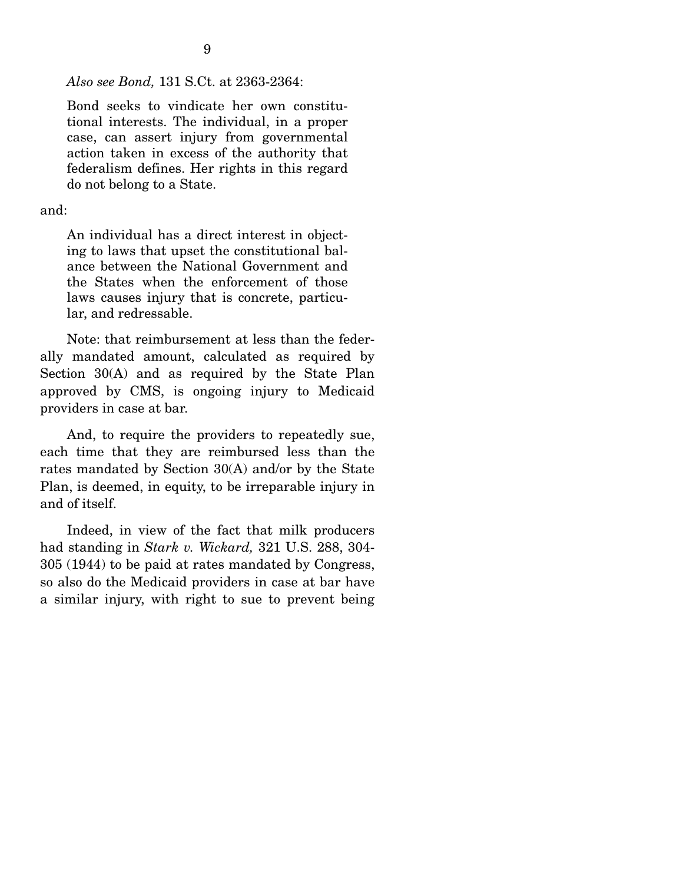9

*Also see Bond,* 131 S.Ct. at 2363-2364:

Bond seeks to vindicate her own constitutional interests. The individual, in a proper case, can assert injury from governmental action taken in excess of the authority that federalism defines. Her rights in this regard do not belong to a State.

and:

An individual has a direct interest in objecting to laws that upset the constitutional balance between the National Government and the States when the enforcement of those laws causes injury that is concrete, particular, and redressable.

 Note: that reimbursement at less than the federally mandated amount, calculated as required by Section 30(A) and as required by the State Plan approved by CMS, is ongoing injury to Medicaid providers in case at bar.

 And, to require the providers to repeatedly sue, each time that they are reimbursed less than the rates mandated by Section 30(A) and/or by the State Plan, is deemed, in equity, to be irreparable injury in and of itself.

 Indeed, in view of the fact that milk producers had standing in *Stark v. Wickard,* 321 U.S. 288, 304- 305 (1944) to be paid at rates mandated by Congress, so also do the Medicaid providers in case at bar have a similar injury, with right to sue to prevent being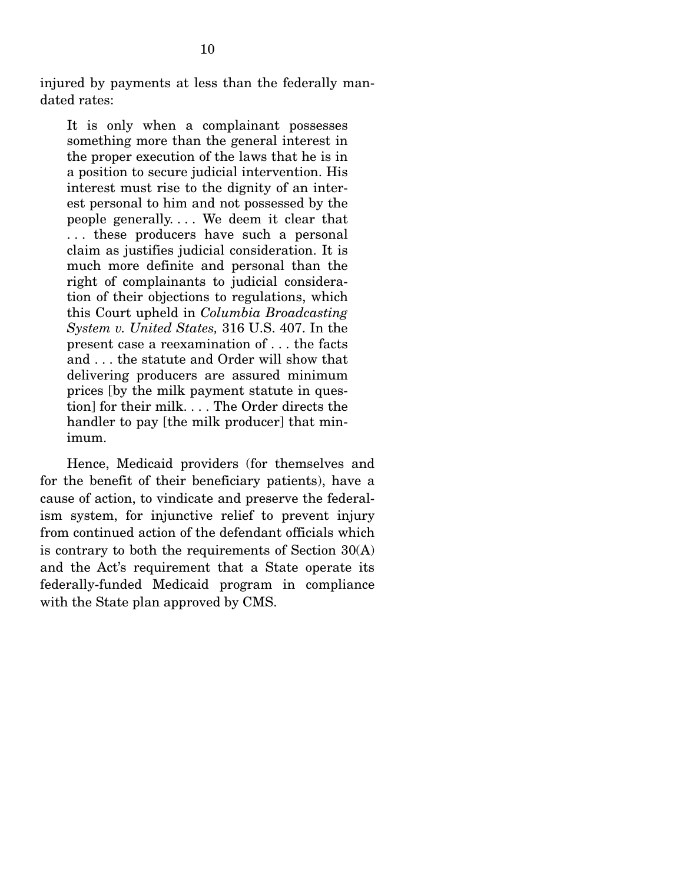injured by payments at less than the federally mandated rates:

It is only when a complainant possesses something more than the general interest in the proper execution of the laws that he is in a position to secure judicial intervention. His interest must rise to the dignity of an interest personal to him and not possessed by the people generally. . . . We deem it clear that . . . these producers have such a personal claim as justifies judicial consideration. It is much more definite and personal than the right of complainants to judicial consideration of their objections to regulations, which this Court upheld in *Columbia Broadcasting System v. United States,* 316 U.S. 407. In the present case a reexamination of . . . the facts and . . . the statute and Order will show that delivering producers are assured minimum prices [by the milk payment statute in question] for their milk. . . . The Order directs the handler to pay [the milk producer] that minimum.

 Hence, Medicaid providers (for themselves and for the benefit of their beneficiary patients), have a cause of action, to vindicate and preserve the federalism system, for injunctive relief to prevent injury from continued action of the defendant officials which is contrary to both the requirements of Section 30(A) and the Act's requirement that a State operate its federally-funded Medicaid program in compliance with the State plan approved by CMS.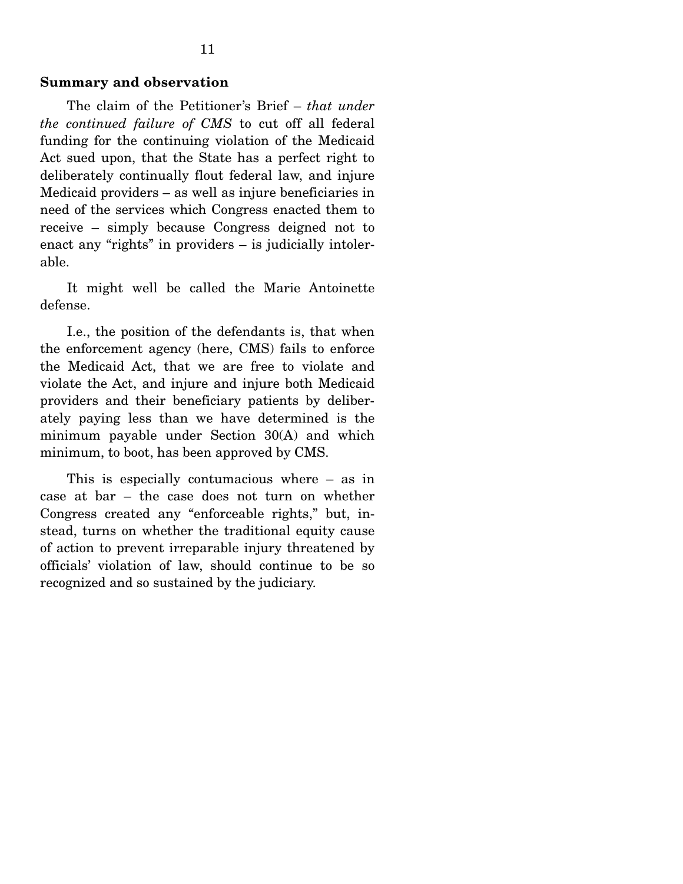The claim of the Petitioner's Brief – *that under the continued failure of CMS* to cut off all federal funding for the continuing violation of the Medicaid Act sued upon, that the State has a perfect right to deliberately continually flout federal law, and injure Medicaid providers – as well as injure beneficiaries in need of the services which Congress enacted them to receive – simply because Congress deigned not to enact any "rights" in providers – is judicially intolerable.

 It might well be called the Marie Antoinette defense.

 I.e., the position of the defendants is, that when the enforcement agency (here, CMS) fails to enforce the Medicaid Act, that we are free to violate and violate the Act, and injure and injure both Medicaid providers and their beneficiary patients by deliberately paying less than we have determined is the minimum payable under Section 30(A) and which minimum, to boot, has been approved by CMS.

 This is especially contumacious where – as in case at bar – the case does not turn on whether Congress created any "enforceable rights," but, instead, turns on whether the traditional equity cause of action to prevent irreparable injury threatened by officials' violation of law, should continue to be so recognized and so sustained by the judiciary.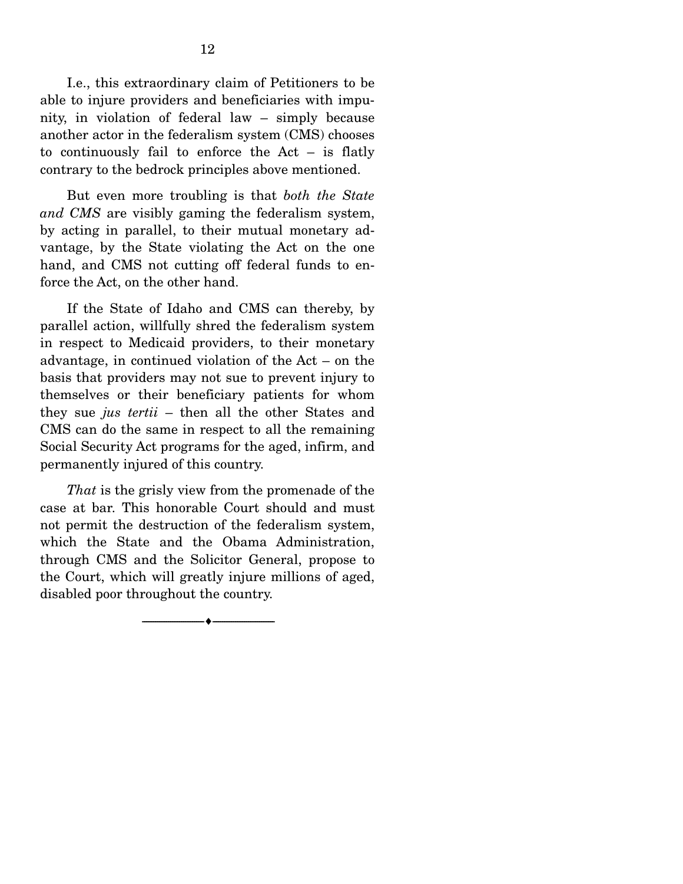I.e., this extraordinary claim of Petitioners to be able to injure providers and beneficiaries with impunity, in violation of federal law – simply because another actor in the federalism system (CMS) chooses to continuously fail to enforce the Act – is flatly contrary to the bedrock principles above mentioned.

 But even more troubling is that *both the State and CMS* are visibly gaming the federalism system, by acting in parallel, to their mutual monetary advantage, by the State violating the Act on the one hand, and CMS not cutting off federal funds to enforce the Act, on the other hand.

 If the State of Idaho and CMS can thereby, by parallel action, willfully shred the federalism system in respect to Medicaid providers, to their monetary advantage, in continued violation of the Act – on the basis that providers may not sue to prevent injury to themselves or their beneficiary patients for whom they sue *jus tertii* – then all the other States and CMS can do the same in respect to all the remaining Social Security Act programs for the aged, infirm, and permanently injured of this country.

*That* is the grisly view from the promenade of the case at bar. This honorable Court should and must not permit the destruction of the federalism system, which the State and the Obama Administration, through CMS and the Solicitor General, propose to the Court, which will greatly injure millions of aged, disabled poor throughout the country.

--------------------------------- ---------------------------------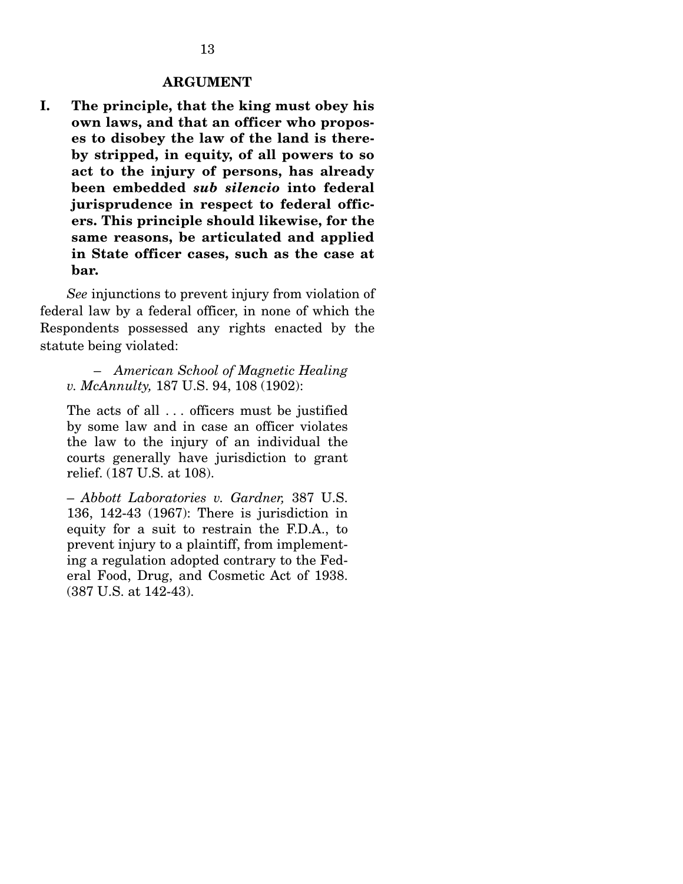#### **ARGUMENT**

**I. The principle, that the king must obey his own laws, and that an officer who proposes to disobey the law of the land is thereby stripped, in equity, of all powers to so act to the injury of persons, has already been embedded** *sub silencio* **into federal jurisprudence in respect to federal officers. This principle should likewise, for the same reasons, be articulated and applied in State officer cases, such as the case at bar.** 

*See* injunctions to prevent injury from violation of federal law by a federal officer, in none of which the Respondents possessed any rights enacted by the statute being violated:

 – *American School of Magnetic Healing v. McAnnulty,* 187 U.S. 94, 108 (1902):

The acts of all . . . officers must be justified by some law and in case an officer violates the law to the injury of an individual the courts generally have jurisdiction to grant relief. (187 U.S. at 108).

– *Abbott Laboratories v. Gardner,* 387 U.S. 136, 142-43 (1967): There is jurisdiction in equity for a suit to restrain the F.D.A., to prevent injury to a plaintiff, from implementing a regulation adopted contrary to the Federal Food, Drug, and Cosmetic Act of 1938. (387 U.S. at 142-43).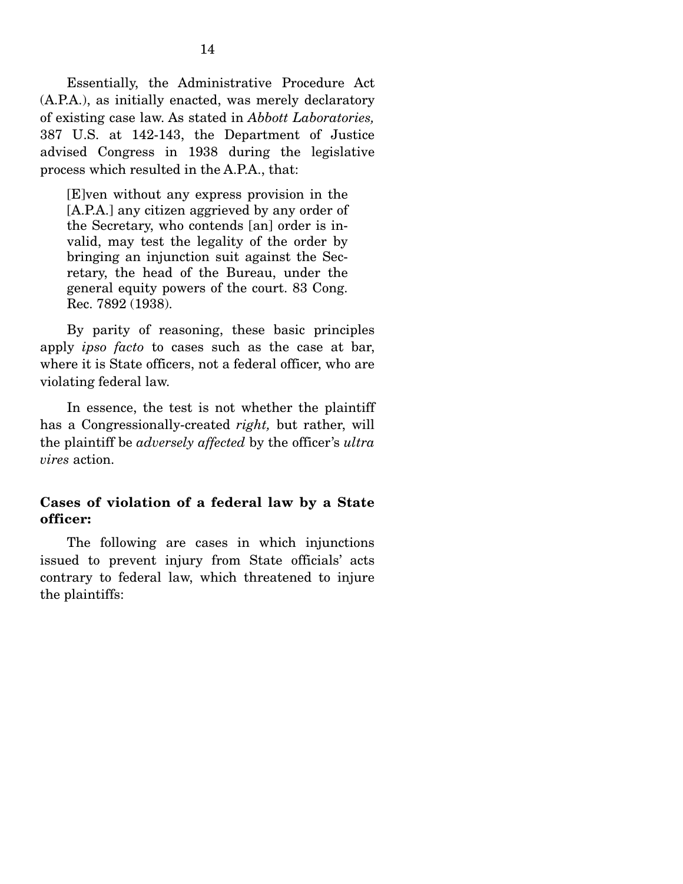Essentially, the Administrative Procedure Act (A.P.A.), as initially enacted, was merely declaratory of existing case law. As stated in *Abbott Laboratories,*  387 U.S. at 142-143, the Department of Justice advised Congress in 1938 during the legislative process which resulted in the A.P.A., that:

[E]ven without any express provision in the [A.P.A.] any citizen aggrieved by any order of the Secretary, who contends [an] order is invalid, may test the legality of the order by bringing an injunction suit against the Secretary, the head of the Bureau, under the general equity powers of the court. 83 Cong. Rec. 7892 (1938).

 By parity of reasoning, these basic principles apply *ipso facto* to cases such as the case at bar, where it is State officers, not a federal officer, who are violating federal law.

 In essence, the test is not whether the plaintiff has a Congressionally-created *right,* but rather, will the plaintiff be *adversely affected* by the officer's *ultra vires* action.

### **Cases of violation of a federal law by a State officer:**

 The following are cases in which injunctions issued to prevent injury from State officials' acts contrary to federal law, which threatened to injure the plaintiffs: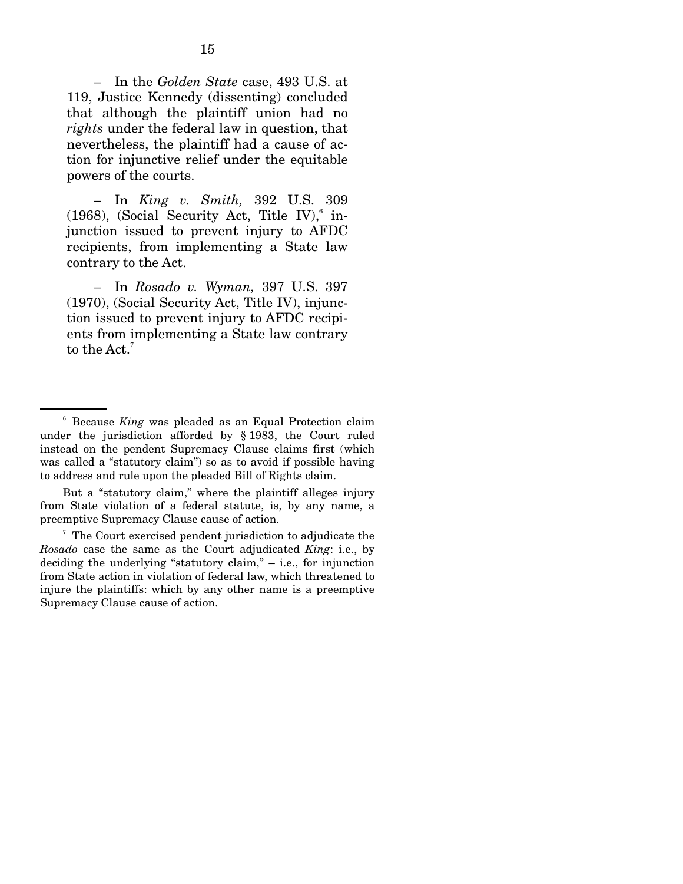– In the *Golden State* case, 493 U.S. at 119, Justice Kennedy (dissenting) concluded that although the plaintiff union had no *rights* under the federal law in question, that nevertheless, the plaintiff had a cause of action for injunctive relief under the equitable powers of the courts.

 – In *King v. Smith,* 392 U.S. 309 (1968), (Social Security Act, Title IV), $6$  injunction issued to prevent injury to AFDC recipients, from implementing a State law contrary to the Act.

 – In *Rosado v. Wyman,* 397 U.S. 397 (1970), (Social Security Act, Title IV), injunction issued to prevent injury to AFDC recipients from implementing a State law contrary to the Act.<sup>7</sup>

 But a "statutory claim," where the plaintiff alleges injury from State violation of a federal statute, is, by any name, a preemptive Supremacy Clause cause of action.

7 The Court exercised pendent jurisdiction to adjudicate the *Rosado* case the same as the Court adjudicated *King*: i.e., by deciding the underlying "statutory claim," – i.e., for injunction from State action in violation of federal law, which threatened to injure the plaintiffs: which by any other name is a preemptive Supremacy Clause cause of action.

<sup>6</sup> Because *King* was pleaded as an Equal Protection claim under the jurisdiction afforded by § 1983, the Court ruled instead on the pendent Supremacy Clause claims first (which was called a "statutory claim") so as to avoid if possible having to address and rule upon the pleaded Bill of Rights claim.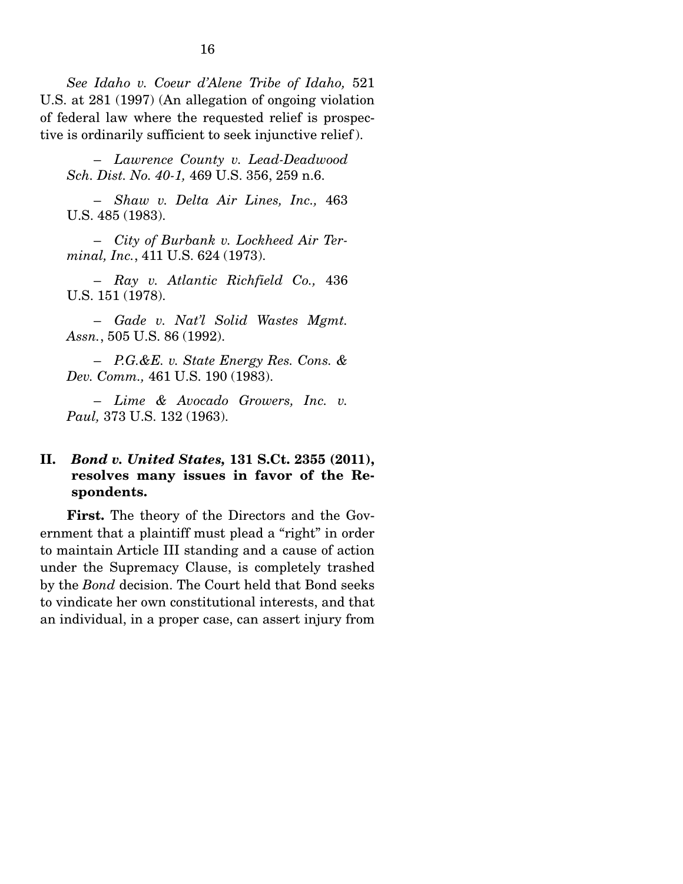*See Idaho v. Coeur d'Alene Tribe of Idaho,* 521 U.S. at 281 (1997) (An allegation of ongoing violation of federal law where the requested relief is prospective is ordinarily sufficient to seek injunctive relief ).

 – *Lawrence County v. Lead-Deadwood Sch. Dist. No. 40-1,* 469 U.S. 356, 259 n.6.

 – *Shaw v. Delta Air Lines, Inc.,* 463 U.S. 485 (1983).

 – *City of Burbank v. Lockheed Air Terminal, Inc.*, 411 U.S. 624 (1973).

 – *Ray v. Atlantic Richfield Co.,* 436 U.S. 151 (1978).

 – *Gade v. Nat'l Solid Wastes Mgmt. Assn.*, 505 U.S. 86 (1992).

 – *P.G.&E. v. State Energy Res. Cons. & Dev. Comm.,* 461 U.S. 190 (1983).

 – *Lime & Avocado Growers, Inc. v. Paul,* 373 U.S. 132 (1963).

### **II.** *Bond v. United States,* **131 S.Ct. 2355 (2011), resolves many issues in favor of the Respondents.**

**First.** The theory of the Directors and the Government that a plaintiff must plead a "right" in order to maintain Article III standing and a cause of action under the Supremacy Clause, is completely trashed by the *Bond* decision. The Court held that Bond seeks to vindicate her own constitutional interests, and that an individual, in a proper case, can assert injury from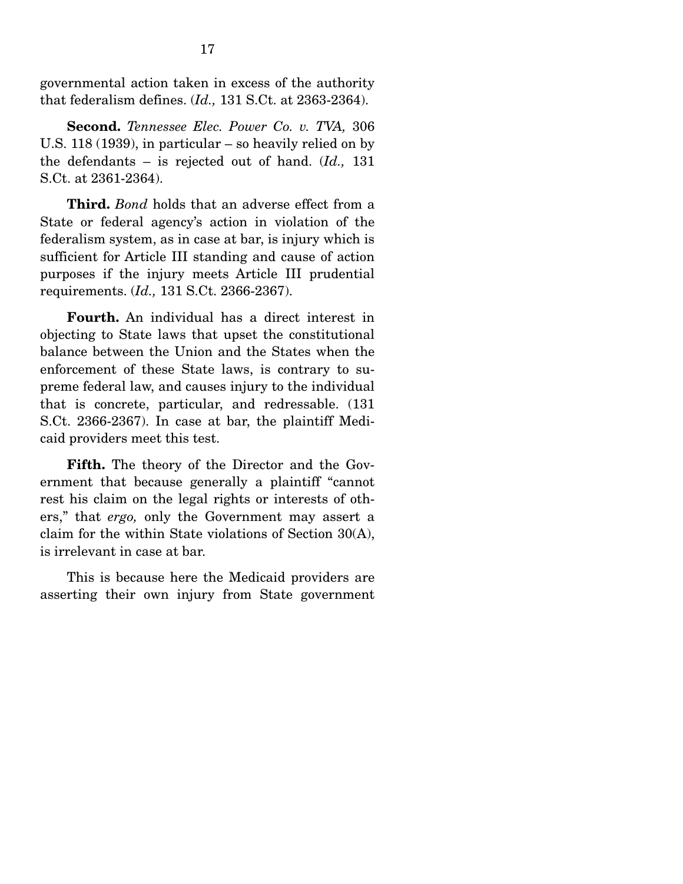governmental action taken in excess of the authority that federalism defines. (*Id.,* 131 S.Ct. at 2363-2364).

**Second.** *Tennessee Elec. Power Co. v. TVA,* 306 U.S. 118 (1939), in particular – so heavily relied on by the defendants – is rejected out of hand. (*Id.,* 131 S.Ct. at 2361-2364).

**Third.** *Bond* holds that an adverse effect from a State or federal agency's action in violation of the federalism system, as in case at bar, is injury which is sufficient for Article III standing and cause of action purposes if the injury meets Article III prudential requirements. (*Id.,* 131 S.Ct. 2366-2367).

**Fourth.** An individual has a direct interest in objecting to State laws that upset the constitutional balance between the Union and the States when the enforcement of these State laws, is contrary to supreme federal law, and causes injury to the individual that is concrete, particular, and redressable. (131 S.Ct. 2366-2367). In case at bar, the plaintiff Medicaid providers meet this test.

**Fifth.** The theory of the Director and the Government that because generally a plaintiff "cannot rest his claim on the legal rights or interests of others," that *ergo,* only the Government may assert a claim for the within State violations of Section 30(A), is irrelevant in case at bar.

 This is because here the Medicaid providers are asserting their own injury from State government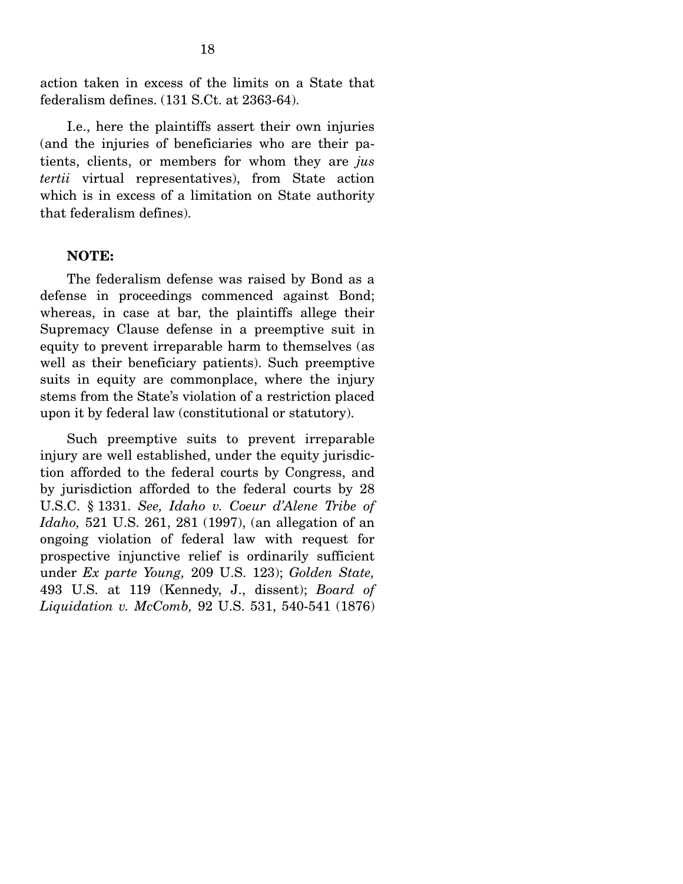action taken in excess of the limits on a State that federalism defines. (131 S.Ct. at 2363-64).

 I.e., here the plaintiffs assert their own injuries (and the injuries of beneficiaries who are their patients, clients, or members for whom they are *jus tertii* virtual representatives), from State action which is in excess of a limitation on State authority that federalism defines).

#### **NOTE:**

 The federalism defense was raised by Bond as a defense in proceedings commenced against Bond; whereas, in case at bar, the plaintiffs allege their Supremacy Clause defense in a preemptive suit in equity to prevent irreparable harm to themselves (as well as their beneficiary patients). Such preemptive suits in equity are commonplace, where the injury stems from the State's violation of a restriction placed upon it by federal law (constitutional or statutory).

 Such preemptive suits to prevent irreparable injury are well established, under the equity jurisdiction afforded to the federal courts by Congress, and by jurisdiction afforded to the federal courts by 28 U.S.C. § 1331. *See, Idaho v. Coeur d'Alene Tribe of Idaho,* 521 U.S. 261, 281 (1997), (an allegation of an ongoing violation of federal law with request for prospective injunctive relief is ordinarily sufficient under *Ex parte Young,* 209 U.S. 123); *Golden State,*  493 U.S. at 119 (Kennedy, J., dissent); *Board of Liquidation v. McComb,* 92 U.S. 531, 540-541 (1876)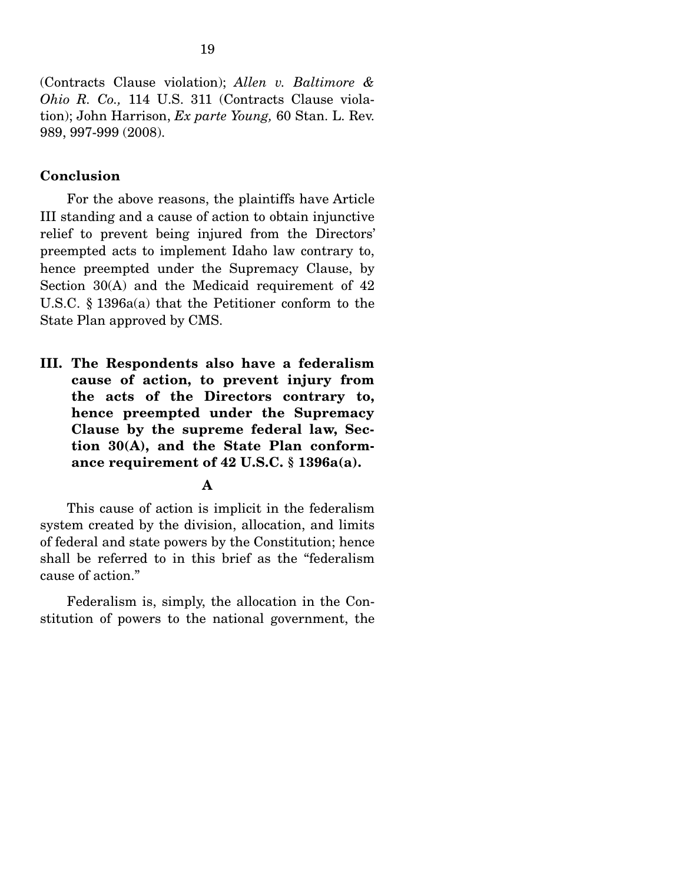(Contracts Clause violation); *Allen v. Baltimore & Ohio R. Co.,* 114 U.S. 311 (Contracts Clause violation); John Harrison, *Ex parte Young,* 60 Stan. L. Rev. 989, 997-999 (2008).

### **Conclusion**

 For the above reasons, the plaintiffs have Article III standing and a cause of action to obtain injunctive relief to prevent being injured from the Directors' preempted acts to implement Idaho law contrary to, hence preempted under the Supremacy Clause, by Section 30(A) and the Medicaid requirement of 42 U.S.C. § 1396a(a) that the Petitioner conform to the State Plan approved by CMS.

**III. The Respondents also have a federalism cause of action, to prevent injury from the acts of the Directors contrary to, hence preempted under the Supremacy Clause by the supreme federal law, Section 30(A), and the State Plan conformance requirement of 42 U.S.C. § 1396a(a).** 

#### **A**

 This cause of action is implicit in the federalism system created by the division, allocation, and limits of federal and state powers by the Constitution; hence shall be referred to in this brief as the "federalism cause of action."

 Federalism is, simply, the allocation in the Constitution of powers to the national government, the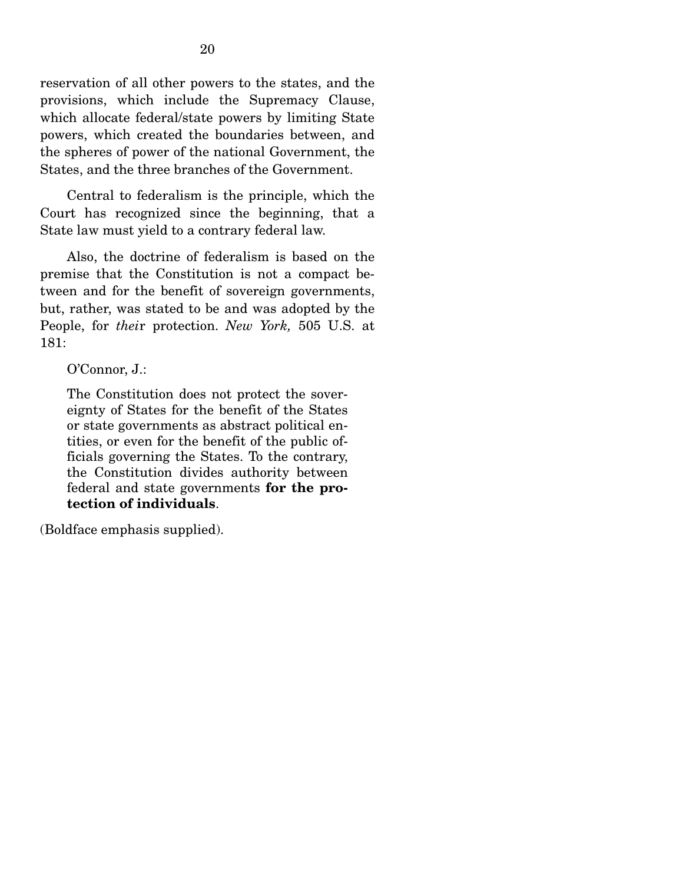reservation of all other powers to the states, and the provisions, which include the Supremacy Clause, which allocate federal/state powers by limiting State powers, which created the boundaries between, and the spheres of power of the national Government, the States, and the three branches of the Government.

 Central to federalism is the principle, which the Court has recognized since the beginning, that a State law must yield to a contrary federal law.

 Also, the doctrine of federalism is based on the premise that the Constitution is not a compact between and for the benefit of sovereign governments, but, rather, was stated to be and was adopted by the People, for *thei*r protection. *New York,* 505 U.S. at 181:

O'Connor, J.:

The Constitution does not protect the sovereignty of States for the benefit of the States or state governments as abstract political entities, or even for the benefit of the public officials governing the States. To the contrary, the Constitution divides authority between federal and state governments **for the protection of individuals**.

(Boldface emphasis supplied).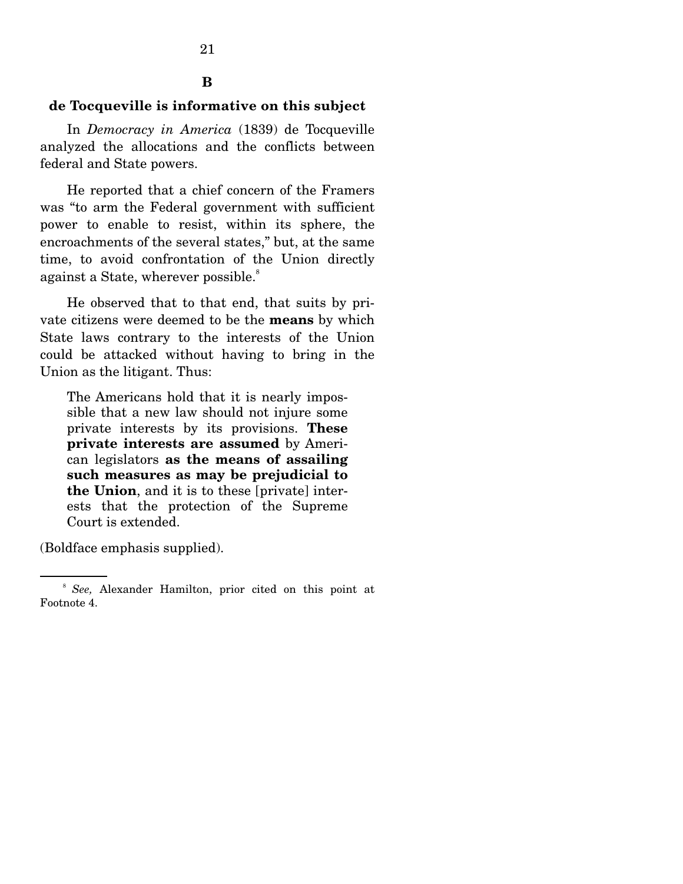#### **B**

### **de Tocqueville is informative on this subject**

 In *Democracy in America* (1839) de Tocqueville analyzed the allocations and the conflicts between federal and State powers.

 He reported that a chief concern of the Framers was "to arm the Federal government with sufficient power to enable to resist, within its sphere, the encroachments of the several states," but, at the same time, to avoid confrontation of the Union directly against a State, wherever possible.<sup>8</sup>

 He observed that to that end, that suits by private citizens were deemed to be the **means** by which State laws contrary to the interests of the Union could be attacked without having to bring in the Union as the litigant. Thus:

The Americans hold that it is nearly impossible that a new law should not injure some private interests by its provisions. **These private interests are assumed** by American legislators **as the means of assailing such measures as may be prejudicial to the Union**, and it is to these [private] interests that the protection of the Supreme Court is extended.

(Boldface emphasis supplied).

<sup>8</sup> *See,* Alexander Hamilton, prior cited on this point at Footnote 4.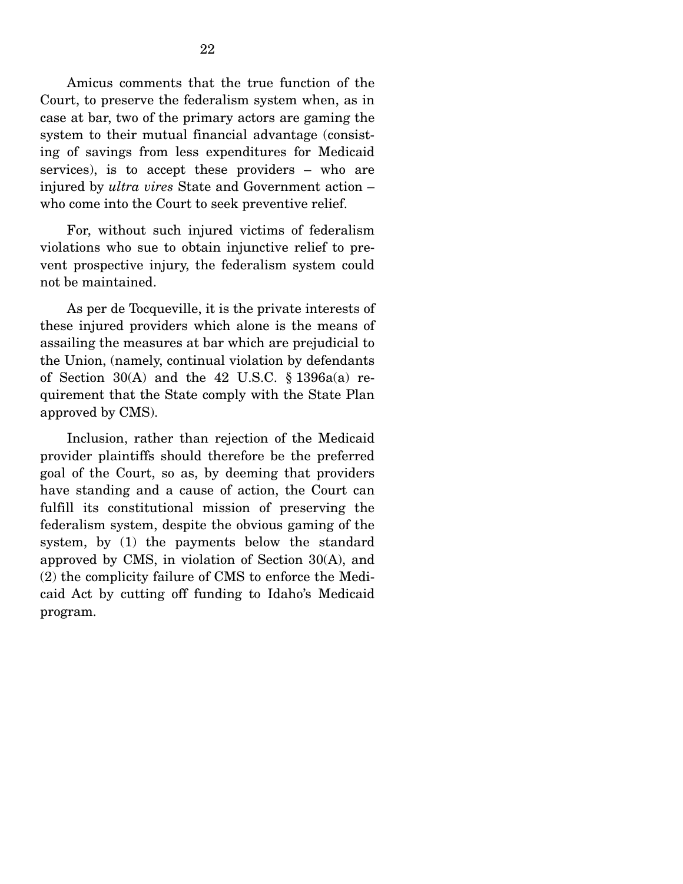Amicus comments that the true function of the Court, to preserve the federalism system when, as in case at bar, two of the primary actors are gaming the system to their mutual financial advantage (consisting of savings from less expenditures for Medicaid services), is to accept these providers – who are injured by *ultra vires* State and Government action – who come into the Court to seek preventive relief.

 For, without such injured victims of federalism violations who sue to obtain injunctive relief to prevent prospective injury, the federalism system could not be maintained.

 As per de Tocqueville, it is the private interests of these injured providers which alone is the means of assailing the measures at bar which are prejudicial to the Union, (namely, continual violation by defendants of Section  $30(A)$  and the 42 U.S.C. § 1396a(a) requirement that the State comply with the State Plan approved by CMS).

 Inclusion, rather than rejection of the Medicaid provider plaintiffs should therefore be the preferred goal of the Court, so as, by deeming that providers have standing and a cause of action, the Court can fulfill its constitutional mission of preserving the federalism system, despite the obvious gaming of the system, by (1) the payments below the standard approved by CMS, in violation of Section 30(A), and (2) the complicity failure of CMS to enforce the Medicaid Act by cutting off funding to Idaho's Medicaid program.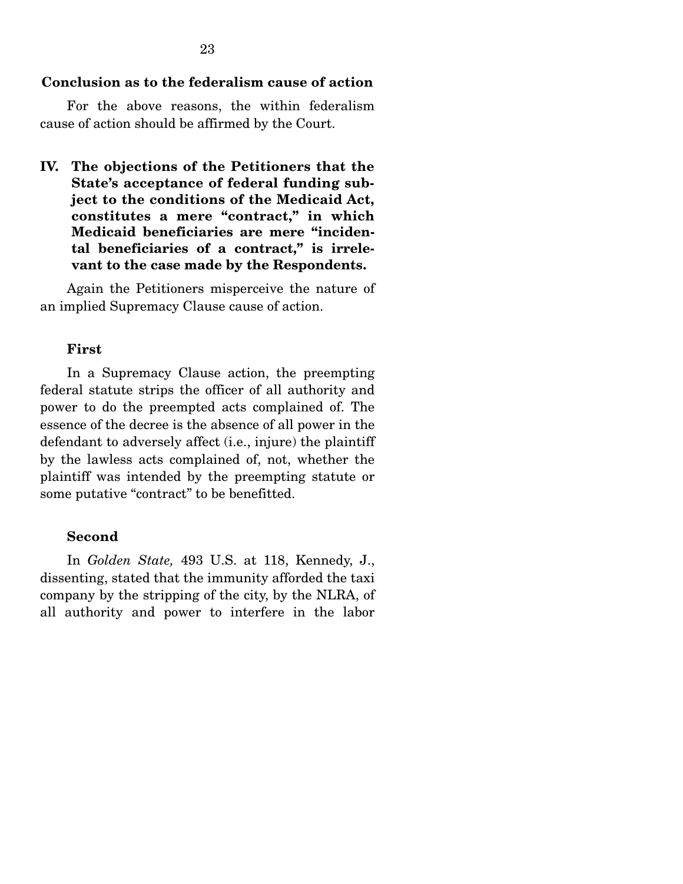23

 For the above reasons, the within federalism cause of action should be affirmed by the Court.

**IV. The objections of the Petitioners that the State's acceptance of federal funding subject to the conditions of the Medicaid Act, constitutes a mere "contract," in which Medicaid beneficiaries are mere "incidental beneficiaries of a contract," is irrelevant to the case made by the Respondents.** 

 Again the Petitioners misperceive the nature of an implied Supremacy Clause cause of action.

#### **First**

 In a Supremacy Clause action, the preempting federal statute strips the officer of all authority and power to do the preempted acts complained of. The essence of the decree is the absence of all power in the defendant to adversely affect (i.e., injure) the plaintiff by the lawless acts complained of, not, whether the plaintiff was intended by the preempting statute or some putative "contract" to be benefitted.

#### **Second**

 In *Golden State,* 493 U.S. at 118, Kennedy, J., dissenting, stated that the immunity afforded the taxi company by the stripping of the city, by the NLRA, of all authority and power to interfere in the labor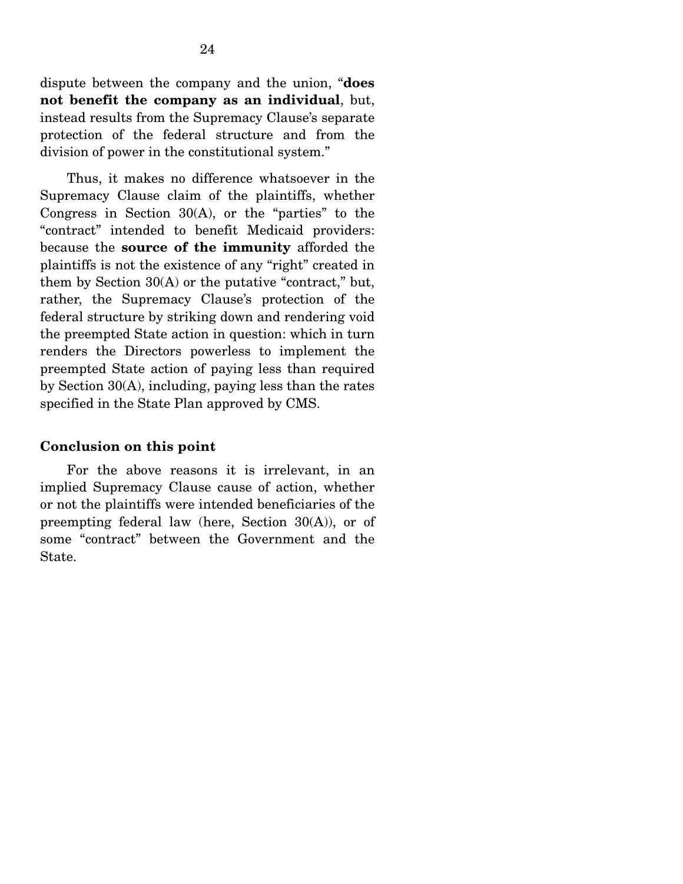dispute between the company and the union, "**does not benefit the company as an individual**, but, instead results from the Supremacy Clause's separate protection of the federal structure and from the division of power in the constitutional system."

 Thus, it makes no difference whatsoever in the Supremacy Clause claim of the plaintiffs, whether Congress in Section  $30(A)$ , or the "parties" to the "contract" intended to benefit Medicaid providers: because the **source of the immunity** afforded the plaintiffs is not the existence of any "right" created in them by Section 30(A) or the putative "contract," but, rather, the Supremacy Clause's protection of the federal structure by striking down and rendering void the preempted State action in question: which in turn renders the Directors powerless to implement the preempted State action of paying less than required by Section 30(A), including, paying less than the rates specified in the State Plan approved by CMS.

#### **Conclusion on this point**

 For the above reasons it is irrelevant, in an implied Supremacy Clause cause of action, whether or not the plaintiffs were intended beneficiaries of the preempting federal law (here, Section 30(A)), or of some "contract" between the Government and the State.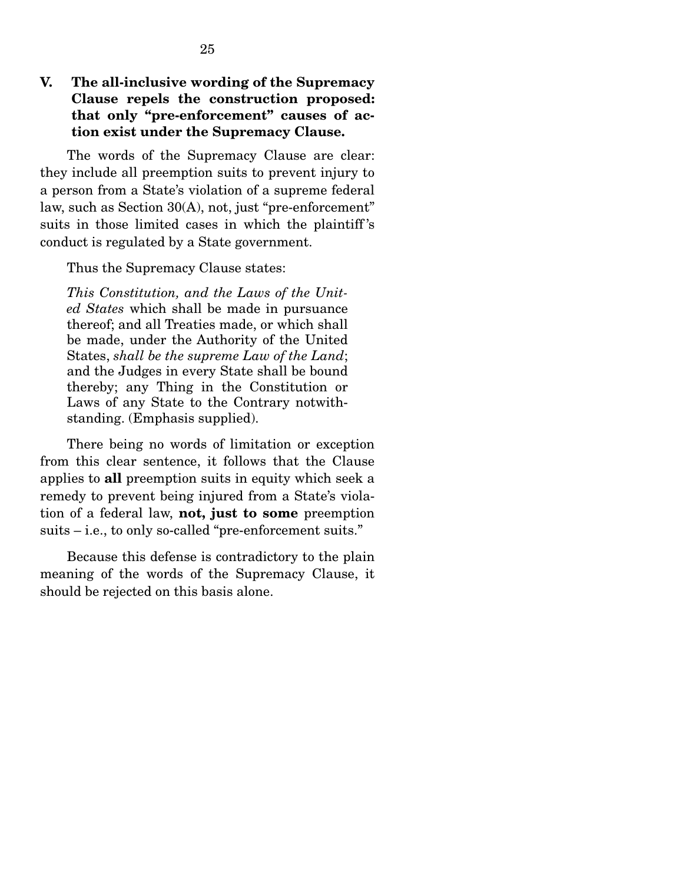## **V. The all-inclusive wording of the Supremacy Clause repels the construction proposed: that only "pre-enforcement" causes of action exist under the Supremacy Clause.**

 The words of the Supremacy Clause are clear: they include all preemption suits to prevent injury to a person from a State's violation of a supreme federal law, such as Section 30(A), not, just "pre-enforcement" suits in those limited cases in which the plaintiff 's conduct is regulated by a State government.

Thus the Supremacy Clause states:

*This Constitution, and the Laws of the United States* which shall be made in pursuance thereof; and all Treaties made, or which shall be made, under the Authority of the United States, *shall be the supreme Law of the Land*; and the Judges in every State shall be bound thereby; any Thing in the Constitution or Laws of any State to the Contrary notwithstanding. (Emphasis supplied).

 There being no words of limitation or exception from this clear sentence, it follows that the Clause applies to **all** preemption suits in equity which seek a remedy to prevent being injured from a State's violation of a federal law, **not, just to some** preemption suits – i.e., to only so-called "pre-enforcement suits."

 Because this defense is contradictory to the plain meaning of the words of the Supremacy Clause, it should be rejected on this basis alone.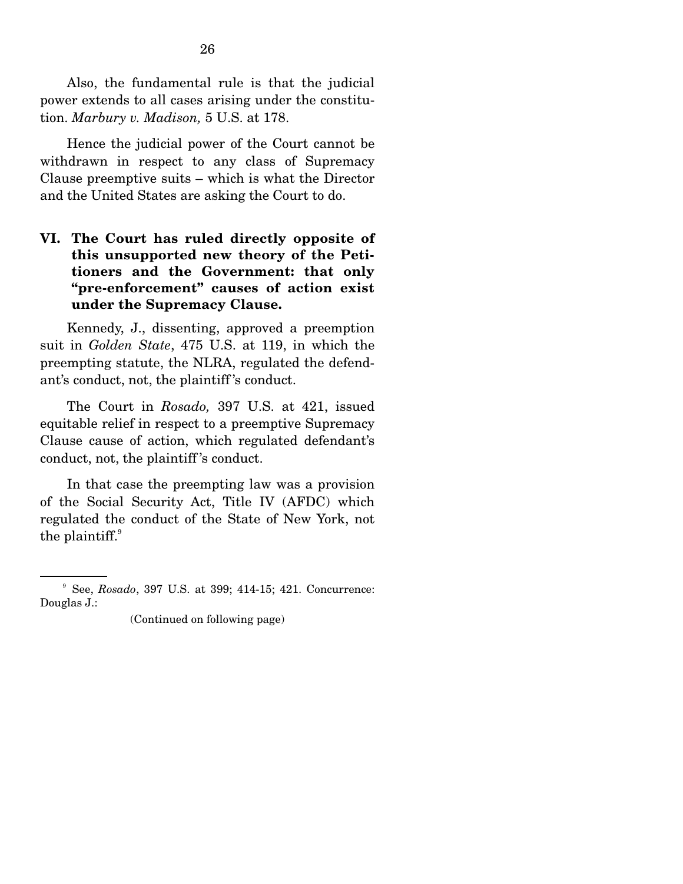Also, the fundamental rule is that the judicial power extends to all cases arising under the constitution. *Marbury v. Madison,* 5 U.S. at 178.

 Hence the judicial power of the Court cannot be withdrawn in respect to any class of Supremacy Clause preemptive suits – which is what the Director and the United States are asking the Court to do.

## **VI. The Court has ruled directly opposite of this unsupported new theory of the Petitioners and the Government: that only "pre-enforcement" causes of action exist under the Supremacy Clause.**

 Kennedy, J., dissenting, approved a preemption suit in *Golden State*, 475 U.S. at 119, in which the preempting statute, the NLRA, regulated the defendant's conduct, not, the plaintiff 's conduct.

 The Court in *Rosado,* 397 U.S. at 421, issued equitable relief in respect to a preemptive Supremacy Clause cause of action, which regulated defendant's conduct, not, the plaintiff 's conduct.

 In that case the preempting law was a provision of the Social Security Act, Title IV (AFDC) which regulated the conduct of the State of New York, not the plaintiff. $9$ 

<sup>9</sup> See, *Rosado*, 397 U.S. at 399; 414-15; 421. Concurrence: Douglas J.:

<sup>(</sup>Continued on following page)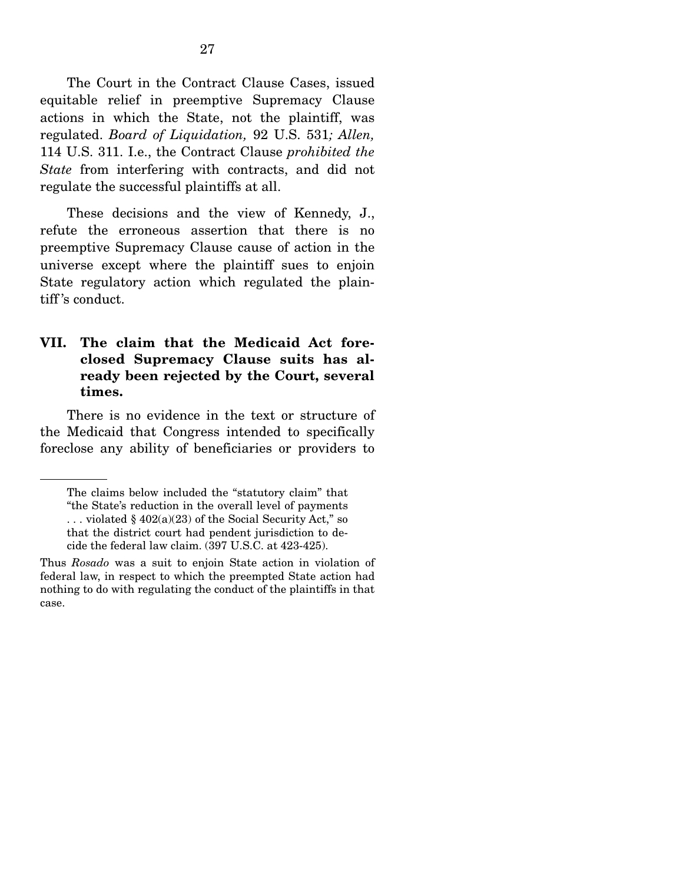The Court in the Contract Clause Cases, issued equitable relief in preemptive Supremacy Clause actions in which the State, not the plaintiff, was regulated. *Board of Liquidation,* 92 U.S. 531*; Allen,*  114 U.S. 311. I.e., the Contract Clause *prohibited the State* from interfering with contracts, and did not regulate the successful plaintiffs at all.

 These decisions and the view of Kennedy, J., refute the erroneous assertion that there is no preemptive Supremacy Clause cause of action in the universe except where the plaintiff sues to enjoin State regulatory action which regulated the plaintiff 's conduct.

### **VII. The claim that the Medicaid Act foreclosed Supremacy Clause suits has already been rejected by the Court, several times.**

 There is no evidence in the text or structure of the Medicaid that Congress intended to specifically foreclose any ability of beneficiaries or providers to

The claims below included the "statutory claim" that "the State's reduction in the overall level of payments ... violated  $\S 402(a)(23)$  of the Social Security Act," so that the district court had pendent jurisdiction to decide the federal law claim. (397 U.S.C. at 423-425).

Thus *Rosado* was a suit to enjoin State action in violation of federal law, in respect to which the preempted State action had nothing to do with regulating the conduct of the plaintiffs in that case.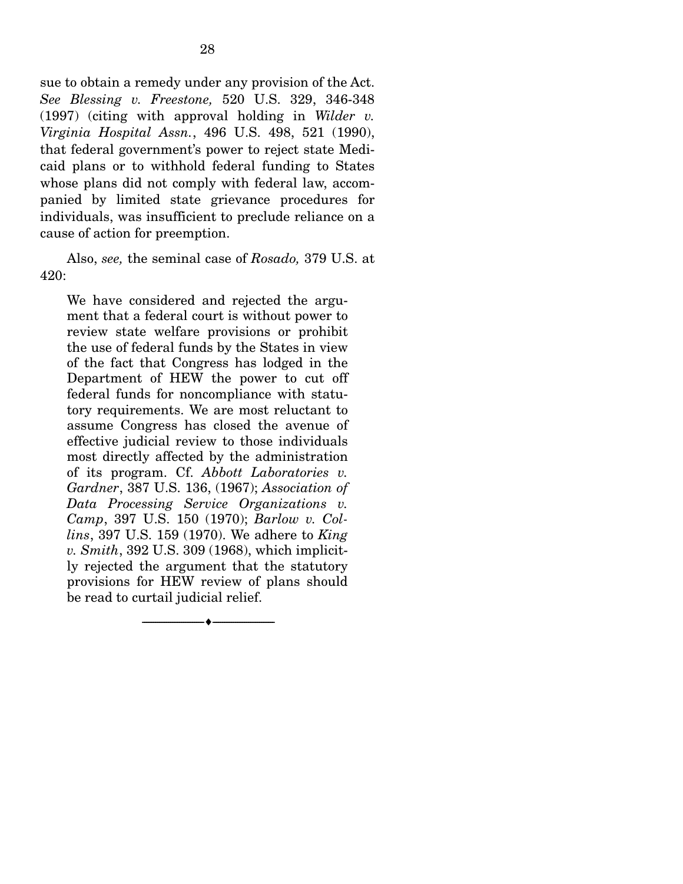sue to obtain a remedy under any provision of the Act. *See Blessing v. Freestone,* 520 U.S. 329, 346-348 (1997) (citing with approval holding in *Wilder v. Virginia Hospital Assn.*, 496 U.S. 498, 521 (1990), that federal government's power to reject state Medicaid plans or to withhold federal funding to States whose plans did not comply with federal law, accompanied by limited state grievance procedures for individuals, was insufficient to preclude reliance on a cause of action for preemption.

 Also, *see,* the seminal case of *Rosado,* 379 U.S. at 420:

We have considered and rejected the argument that a federal court is without power to review state welfare provisions or prohibit the use of federal funds by the States in view of the fact that Congress has lodged in the Department of HEW the power to cut off federal funds for noncompliance with statutory requirements. We are most reluctant to assume Congress has closed the avenue of effective judicial review to those individuals most directly affected by the administration of its program. Cf. *Abbott Laboratories v. Gardner*, 387 U.S. 136, (1967); *Association of Data Processing Service Organizations v. Camp*, 397 U.S. 150 (1970); *Barlow v. Collins*, 397 U.S. 159 (1970). We adhere to *King v. Smith*, 392 U.S. 309 (1968), which implicitly rejected the argument that the statutory provisions for HEW review of plans should be read to curtail judicial relief.

--------------------------------- ---------------------------------